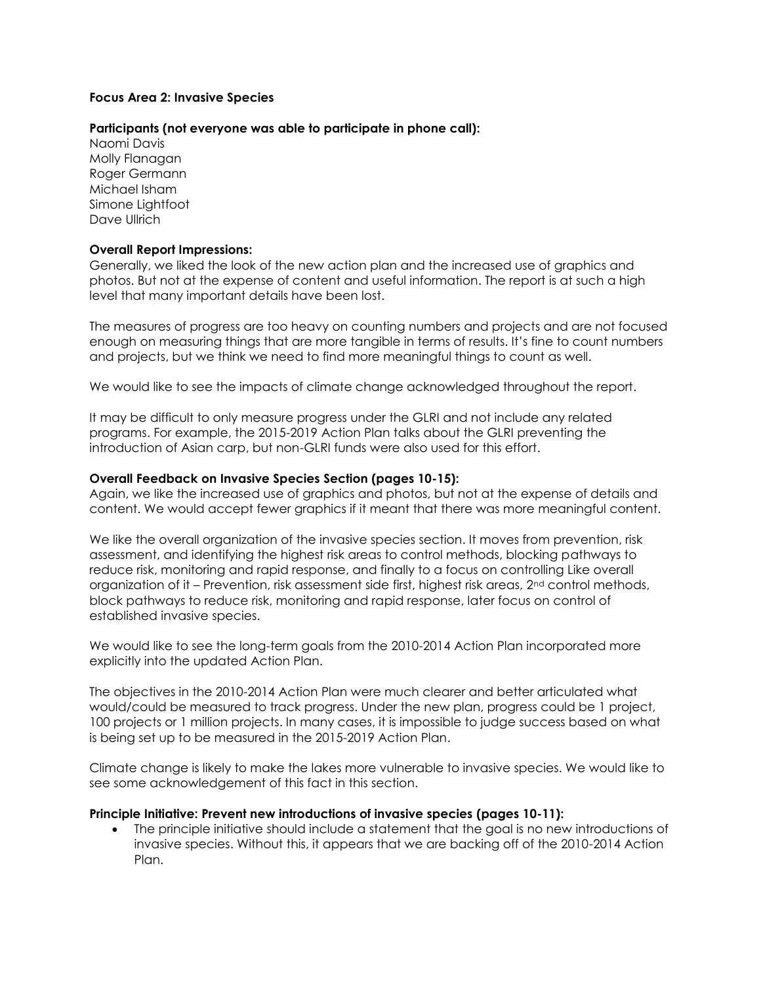### **Focus Area 2: Invasive Species**

### **Participants (not everyone was able to participate in phone call):**

Naomi Davis Molly Flanagan Roger Germann Michael Isham Simone Lightfoot Dave Ullrich

#### **Overall Report Impressions:**

Generally, we liked the look of the new action plan and the increased use of graphics and photos. But not at the expense of content and useful information. The report is at such a high level that many important details have been lost.

The measures of progress are too heavy on counting numbers and projects and are not focused enough on measuring things that are more tangible in terms of results. It's fine to count numbers and projects, but we think we need to find more meaningful things to count as well.

We would like to see the impacts of climate change acknowledged throughout the report.

It may be difficult to only measure progress under the GLRI and not include any related programs. For example, the 2015-2019 Action Plan talks about the GLRI preventing the introduction of Asian carp, but non-GLRI funds were also used for this effort.

#### **Overall Feedback on Invasive Species Section (pages 10-15):**

Again, we like the increased use of graphics and photos, but not at the expense of details and content. We would accept fewer graphics if it meant that there was more meaningful content.

We like the overall organization of the invasive species section. It moves from prevention, risk assessment, and identifying the highest risk areas to control methods, blocking pathways to reduce risk, monitoring and rapid response, and finally to a focus on controlling Like overall organization of it – Prevention, risk assessment side first, highest risk areas, 2nd control methods, block pathways to reduce risk, monitoring and rapid response, later focus on control of established invasive species.

We would like to see the long-term goals from the 2010-2014 Action Plan incorporated more explicitly into the updated Action Plan.

The objectives in the 2010-2014 Action Plan were much clearer and better articulated what would/could be measured to track progress. Under the new plan, progress could be 1 project, 100 projects or 1 million projects. In many cases, it is impossible to judge success based on what is being set up to be measured in the 2015-2019 Action Plan.

Climate change is likely to make the lakes more vulnerable to invasive species. We would like to see some acknowledgement of this fact in this section.

#### **Principle Initiative: Prevent new introductions of invasive species (pages 10-11):**

 The principle initiative should include a statement that the goal is no new introductions of invasive species. Without this, it appears that we are backing off of the 2010-2014 Action Plan.